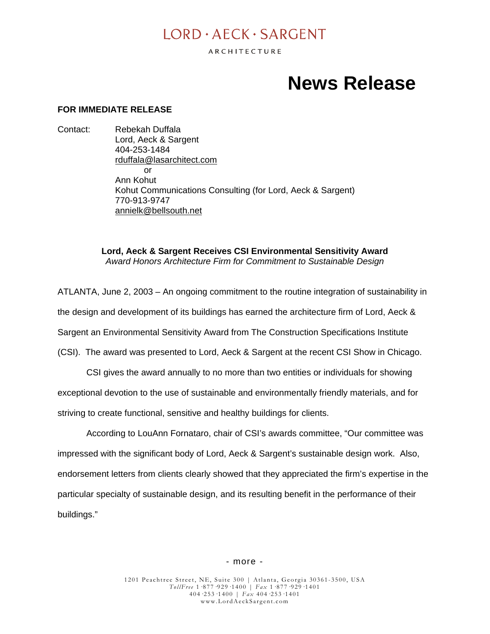## $I$  ORD  $\cdot$  AECK  $\cdot$  SARGENT

ARCHITECTURE

# **News Release**

#### **FOR IMMEDIATE RELEASE**

Contact: Rebekah Duffala Lord, Aeck & Sargent 404-253-1484 [rduffala@lasarchitect.com](mailto:rduffala@lasarchitect.com) or Ann Kohut Kohut Communications Consulting (for Lord, Aeck & Sargent) 770-913-9747 [annielk@bellsouth.net](mailto:annielk@bellsouth.net)

> **Lord, Aeck & Sargent Receives CSI Environmental Sensitivity Award** *Award Honors Architecture Firm for Commitment to Sustainable Design*

ATLANTA, June 2, 2003 – An ongoing commitment to the routine integration of sustainability in the design and development of its buildings has earned the architecture firm of Lord, Aeck & Sargent an Environmental Sensitivity Award from The Construction Specifications Institute (CSI). The award was presented to Lord, Aeck & Sargent at the recent CSI Show in Chicago.

 CSI gives the award annually to no more than two entities or individuals for showing exceptional devotion to the use of sustainable and environmentally friendly materials, and for striving to create functional, sensitive and healthy buildings for clients.

 According to LouAnn Fornataro, chair of CSI's awards committee, "Our committee was impressed with the significant body of Lord, Aeck & Sargent's sustainable design work. Also, endorsement letters from clients clearly showed that they appreciated the firm's expertise in the particular specialty of sustainable design, and its resulting benefit in the performance of their buildings."

#### - more -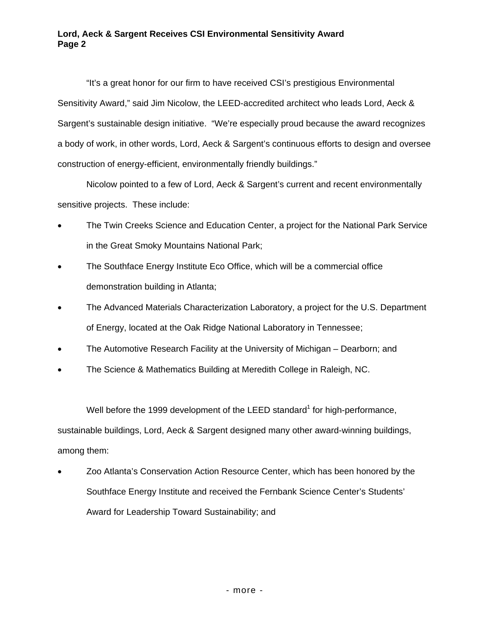### **Lord, Aeck & Sargent Receives CSI Environmental Sensitivity Award Page 2**

"It's a great honor for our firm to have received CSI's prestigious Environmental Sensitivity Award," said Jim Nicolow, the LEED-accredited architect who leads Lord, Aeck & Sargent's sustainable design initiative. "We're especially proud because the award recognizes a body of work, in other words, Lord, Aeck & Sargent's continuous efforts to design and oversee construction of energy-efficient, environmentally friendly buildings."

Nicolow pointed to a few of Lord, Aeck & Sargent's current and recent environmentally sensitive projects. These include:

- The Twin Creeks Science and Education Center, a project for the National Park Service in the Great Smoky Mountains National Park;
- The Southface Energy Institute Eco Office, which will be a commercial office demonstration building in Atlanta;
- The Advanced Materials Characterization Laboratory, a project for the U.S. Department of Energy, located at the Oak Ridge National Laboratory in Tennessee;
- The Automotive Research Facility at the University of Michigan Dearborn; and
- The Science & Mathematics Building at Meredith College in Raleigh, NC.

Well before the 1999 development of the LEED standard<sup>1</sup> for high-performance, sustainable buildings, Lord, Aeck & Sargent designed many other award-winning buildings, among them:

• Zoo Atlanta's Conservation Action Resource Center, which has been honored by the Southface Energy Institute and received the Fernbank Science Center's Students' Award for Leadership Toward Sustainability; and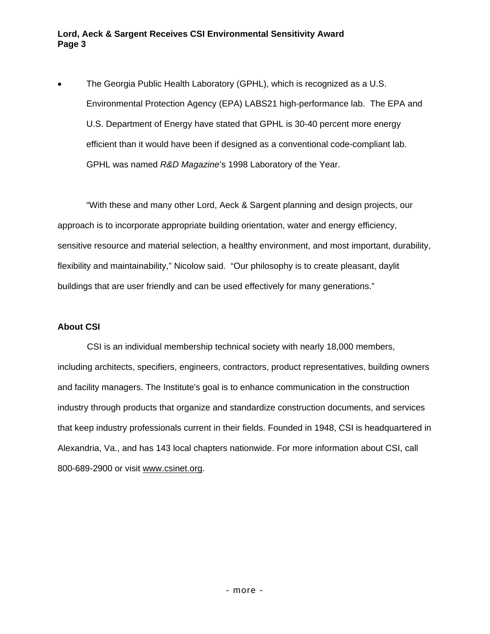### **Lord, Aeck & Sargent Receives CSI Environmental Sensitivity Award Page 3**

• The Georgia Public Health Laboratory (GPHL), which is recognized as a U.S. Environmental Protection Agency (EPA) LABS21 high-performance lab. The EPA and U.S. Department of Energy have stated that GPHL is 30-40 percent more energy efficient than it would have been if designed as a conventional code-compliant lab. GPHL was named *R&D Magazine*'s 1998 Laboratory of the Year.

"With these and many other Lord, Aeck & Sargent planning and design projects, our approach is to incorporate appropriate building orientation, water and energy efficiency, sensitive resource and material selection, a healthy environment, and most important, durability, flexibility and maintainability," Nicolow said. "Our philosophy is to create pleasant, daylit buildings that are user friendly and can be used effectively for many generations."

#### **About CSI**

 CSI is an individual membership technical society with nearly 18,000 members, including architects, specifiers, engineers, contractors, product representatives, building owners and facility managers. The Institute's goal is to enhance communication in the construction industry through products that organize and standardize construction documents, and services that keep industry professionals current in their fields. Founded in 1948, CSI is headquartered in Alexandria, Va., and has 143 local chapters nationwide. For more information about CSI, call 800-689-2900 or visit [www.csinet.org](http://www.csinet.org/).